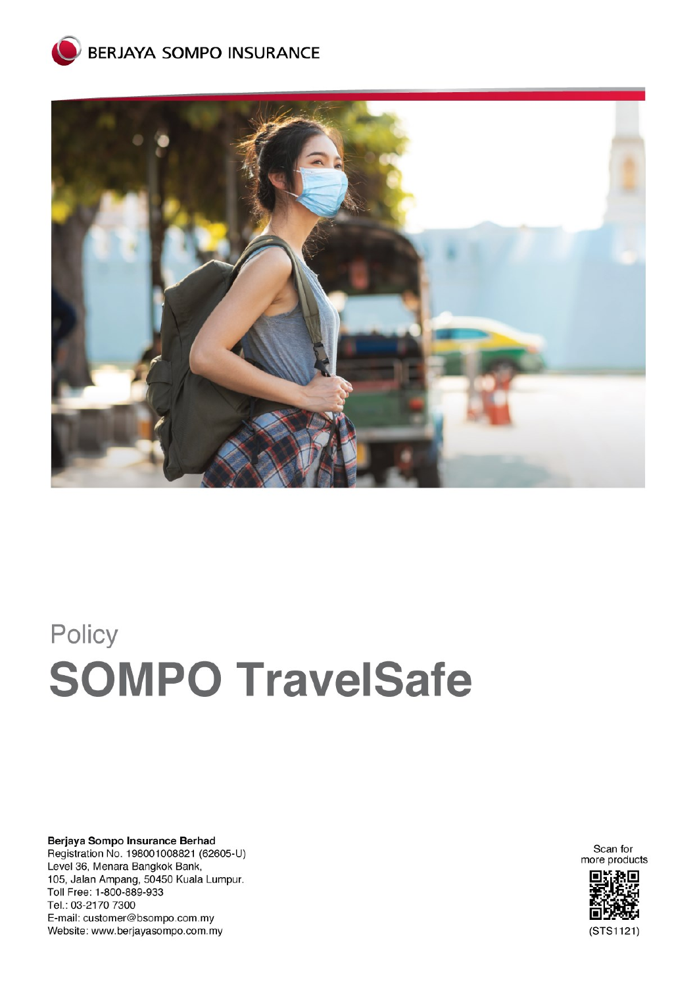



# Policy **SOMPO TravelSafe**

Berjaya Sompo Insurance Berhad Registration No. 198001008821 (62605-U) Level 36, Menara Bangkok Bank, 105, Jalan Ampang, 50450 Kuala Lumpur. Toll Free: 1-800-889-933 Tel.: 03-2170 7300 E-mail: customer@bsompo.com.my Website: www.berjayasompo.com.my

Scan for more products

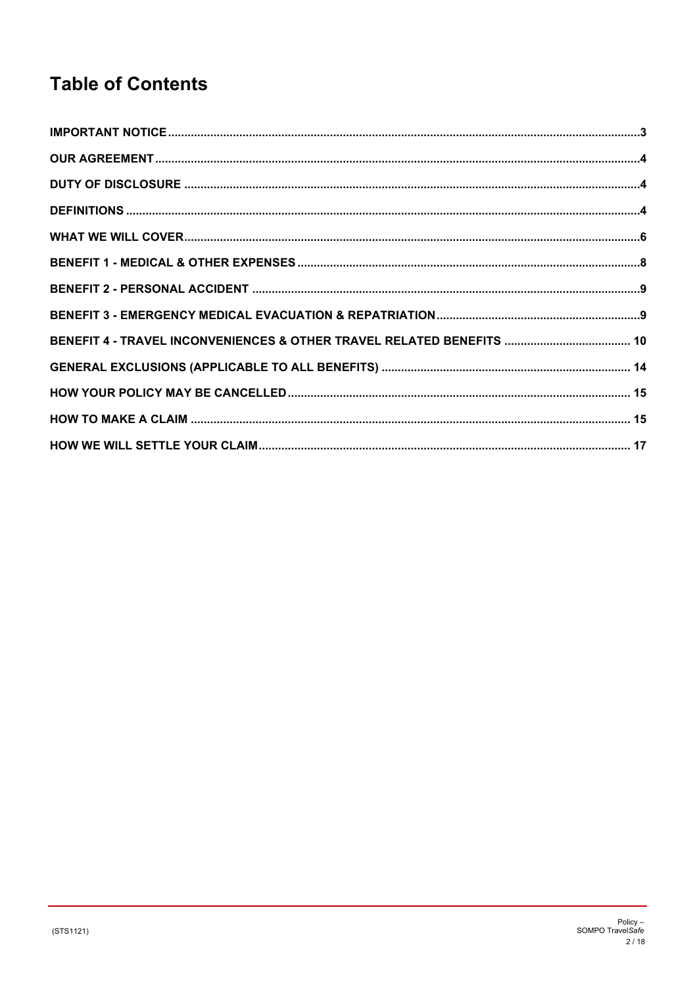# **Table of Contents**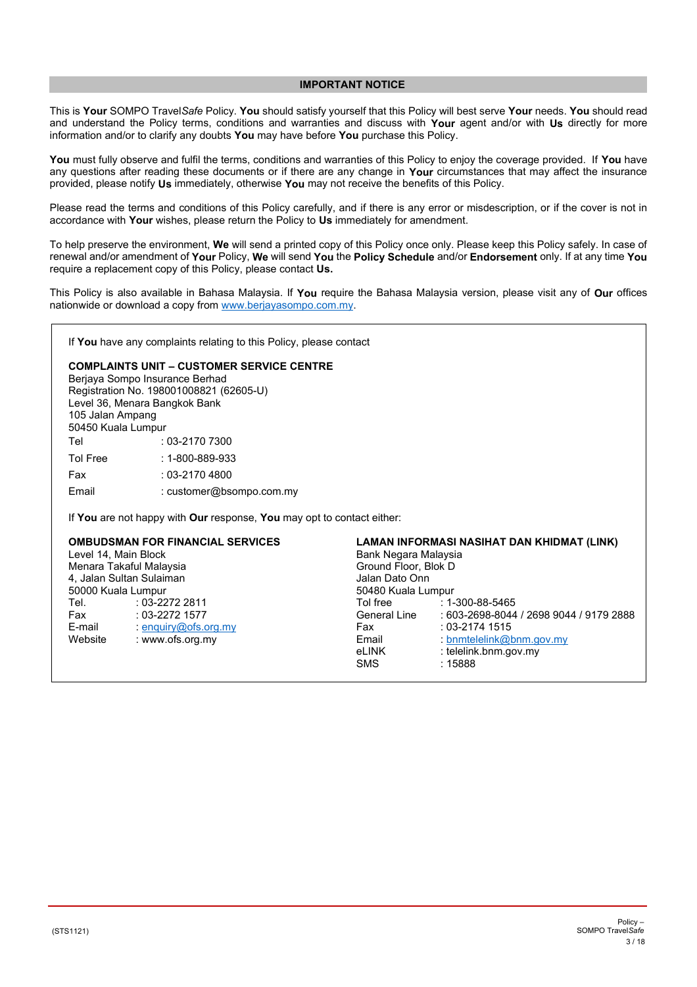#### **IMPORTANT NOTICE**

<span id="page-2-0"></span>This is **Your** SOMPO Travel*Safe* Policy. **You** should satisfy yourself that this Policy will best serve **Your** needs. **You** should read and understand the Policy terms, conditions and warranties and discuss with **Your** agent and/or with **Us** directly for more information and/or to clarify any doubts **You** may have before **You** purchase this Policy.

**You** must fully observe and fulfil the terms, conditions and warranties of this Policy to enjoy the coverage provided. If **You** have any questions after reading these documents or if there are any change in **Your** circumstances that may affect the insurance provided, please notify **Us** immediately, otherwise **You** may not receive the benefits of this Policy.

Please read the terms and conditions of this Policy carefully, and if there is any error or misdescription, or if the cover is not in accordance with **Your** wishes, please return the Policy to **Us** immediately for amendment.

To help preserve the environment, **We** will send a printed copy of this Policy once only. Please keep this Policy safely. In case of renewal and/or amendment of **Your** Policy, **We** will send **You** the **Policy Schedule** and/or **Endorsement** only. If at any time **You**  require a replacement copy of this Policy, please contact **Us.**

This Policy is also available in Bahasa Malaysia. If **You** require the Bahasa Malaysia version, please visit any of **Our** offices nationwide or download a copy from [www.berjayasompo.com.my.](http://www.berjayasompo.com.my/)

If **You** have any complaints relating to this Policy, please contact

# **COMPLAINTS UNIT – CUSTOMER SERVICE CENTRE**

Berjaya Sompo Insurance Berhad Registration No. 198001008821 (62605-U) Level 36, Menara Bangkok Bank 105 Jalan Ampang 50450 Kuala Lumpur Tel : 03-2170 7300 Tol Free : 1-800-889-933 Fax : 03-2170 4800 Email : customer@bsompo.com.my

If **You** are not happy with **Our** response, **You** may opt to contact either:

|                                                                                                                | <b>OMBUDSMAN FOR FINANCIAL SERVICES</b> | LAMAN INFORMASI NASIHAT DAN KHIDMAT (LINK) |                                         |  |
|----------------------------------------------------------------------------------------------------------------|-----------------------------------------|--------------------------------------------|-----------------------------------------|--|
| Level 14, Main Block                                                                                           |                                         | Bank Negara Malaysia                       |                                         |  |
| Menara Takaful Malaysia                                                                                        |                                         | Ground Floor, Blok D                       |                                         |  |
| 4, Jalan Sultan Sulaiman                                                                                       |                                         | Jalan Dato Onn                             |                                         |  |
| 50000 Kuala Lumpur                                                                                             |                                         | 50480 Kuala Lumpur                         |                                         |  |
| Tel. Telection of the Telection of the Telection of the Telection of the Telection of the Telection of the Tel | $:03-22722811$                          | Tol free                                   | $: 1 - 300 - 88 - 5465$                 |  |
| Fax                                                                                                            | $: 03 - 2272$ 1577                      | General Line                               | : 603-2698-8044 / 2698 9044 / 9179 2888 |  |
| E-mail                                                                                                         | : enquiry@ofs.org.my                    | Fax                                        | : 03-2174 1515                          |  |
| Website                                                                                                        | : www.ofs.org.my                        | Email                                      | : bnmtelelink@bnm.gov.my                |  |
|                                                                                                                |                                         | eLINK                                      | : telelink.bnm.gov.my                   |  |
|                                                                                                                |                                         | <b>SMS</b>                                 | :15888                                  |  |
|                                                                                                                |                                         |                                            |                                         |  |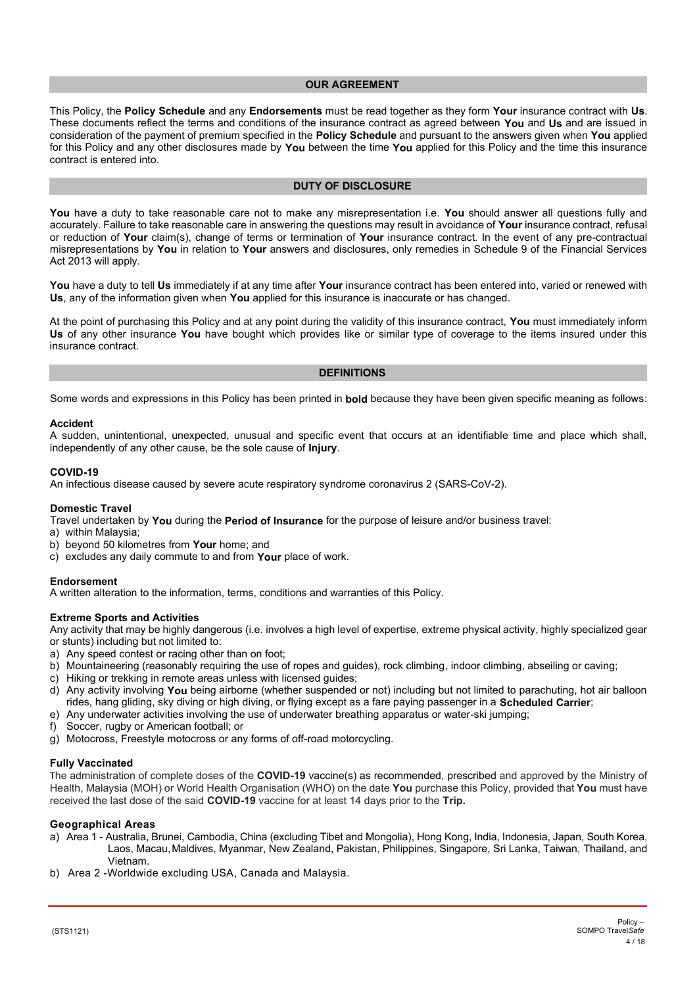# **OUR AGREEMENT**

<span id="page-3-0"></span>This Policy, the **Policy Schedule** and any **Endorsements** must be read together as they form **Your** insurance contract with **Us**. These documents reflect the terms and conditions of the insurance contract as agreed between **You** and **Us** and are issued in consideration of the payment of premium specified in the **Policy Schedule** and pursuant to the answers given when **You** applied for this Policy and any other disclosures made by **You** between the time **You** applied for this Policy and the time this insurance contract is entered into.

# **DUTY OF DISCLOSURE**

<span id="page-3-1"></span>**You** have a duty to take reasonable care not to make any misrepresentation i.e. **You** should answer all questions fully and accurately. Failure to take reasonable care in answering the questions may result in avoidance of **Your** insurance contract, refusal or reduction of **Your** claim(s), change of terms or termination of **Your** insurance contract. In the event of any pre-contractual misrepresentations by **You** in relation to **Your** answers and disclosures, only remedies in Schedule 9 of the Financial Services Act 2013 will apply.

**You** have a duty to tell **Us** immediately if at any time after **Your** insurance contract has been entered into, varied or renewed with **Us**, any of the information given when **You** applied for this insurance is inaccurate or has changed.

At the point of purchasing this Policy and at any point during the validity of this insurance contract, **You** must immediately inform **Us** of any other insurance **You** have bought which provides like or similar type of coverage to the items insured under this insurance contract.

#### **DEFINITIONS**

<span id="page-3-2"></span>Some words and expressions in this Policy has been printed in **bold** because they have been given specific meaning as follows:

#### **Accident**

A sudden, unintentional, unexpected, unusual and specific event that occurs at an identifiable time and place which shall, independently of any other cause, be the sole cause of **Injury**.

#### **COVID-19**

An infectious disease caused by severe acute respiratory syndrome coronavirus 2 (SARS-CoV-2).

#### **Domestic Travel**

Travel undertaken by **You** during the **Period of Insurance** for the purpose of leisure and/or business travel:

- a) within Malaysia;
- b) beyond 50 kilometres from **Your** home; and
- c) excludes any daily commute to and from **Your** place of work.

#### **Endorsement**

A written alteration to the information, terms, conditions and warranties of this Policy.

#### **Extreme Sports and Activities**

Any activity that may be highly dangerous (i.e. involves a high level of expertise, extreme physical activity, highly specialized gear or stunts) including but not limited to:

- a) Any speed contest or racing other than on foot;
- b) Mountaineering (reasonably requiring the use of ropes and guides), rock climbing, indoor climbing, abseiling or caving;
- c) Hiking or trekking in remote areas unless with licensed guides;
- d) Any activity involving **You** being airborne (whether suspended or not) including but not limited to parachuting, hot air balloon rides, hang gliding, sky diving or high diving, or flying except as a fare paying passenger in a **Scheduled Carrier**;
- e) Any underwater activities involving the use of underwater breathing apparatus or water-ski jumping;
- f) Soccer, rugby or American football; or
- g) Motocross, Freestyle motocross or any forms of off-road motorcycling.

#### **Fully Vaccinated**

The administration of complete doses of the **COVID-19** vaccine(s) as recommended, prescribed and approved by the Ministry of Health, Malaysia (MOH) or World Health Organisation (WHO) on the date **You** purchase this Policy, provided that **You** must have received the last dose of the said **COVID-19** vaccine for at least 14 days prior to the **Trip.**

#### **Geographical Areas**

- a) Area 1 Australia, Brunei, Cambodia, China (excluding Tibet and Mongolia), Hong Kong, India, Indonesia, Japan, South Korea, Laos, Macau,Maldives, Myanmar, New Zealand, Pakistan, Philippines, Singapore, Sri Lanka, Taiwan, Thailand, and Vietnam.
- b) Area 2 -Worldwide excluding USA, Canada and Malaysia.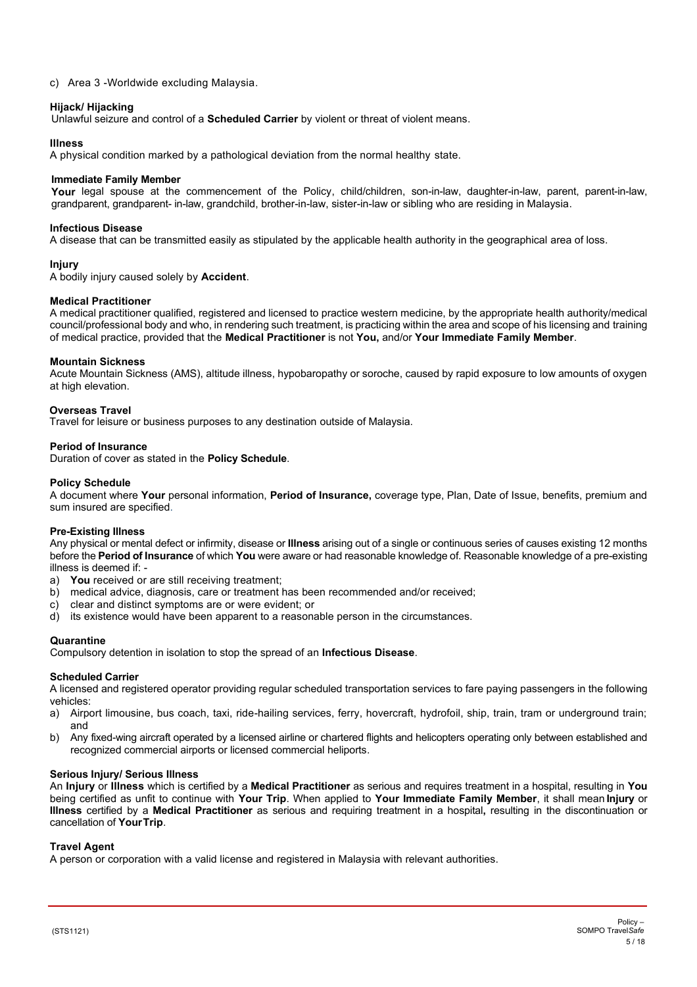#### c) Area 3 -Worldwide excluding Malaysia.

#### **Hijack/ Hijacking**

Unlawful seizure and control of a **Scheduled Carrier** by violent or threat of violent means.

#### **Illness**

A physical condition marked by a pathological deviation from the normal healthy state.

#### **Immediate Family Member**

Your legal spouse at the commencement of the Policy, child/children, son-in-law, daughter-in-law, parent, parent-in-law, grandparent, grandparent- in-law, grandchild, brother-in-law, sister-in-law or sibling who are residing in Malaysia.

#### **Infectious Disease**

A disease that can be transmitted easily as stipulated by the applicable health authority in the geographical area of loss.

#### **Injury**

A bodily injury caused solely by **Accident**.

#### **Medical Practitioner**

A medical practitioner qualified, registered and licensed to practice western medicine, by the appropriate health authority/medical council/professional body and who, in rendering such treatment, is practicing within the area and scope of his licensing and training of medical practice, provided that the **Medical Practitioner** is not **You,** and/or **Your Immediate Family Member**.

#### **Mountain Sickness**

Acute Mountain Sickness (AMS), altitude illness, hypobaropathy or soroche, caused by rapid exposure to low amounts of oxygen at high elevation.

#### **Overseas Travel**

Travel for leisure or business purposes to any destination outside of Malaysia.

# **Period of Insurance**

Duration of cover as stated in the **Policy Schedule**.

#### **Policy Schedule**

A document where **Your** personal information, **Period of Insurance,** coverage type, Plan, Date of Issue, benefits, premium and sum insured are specified.

#### **Pre-Existing Illness**

Any physical or mental defect or infirmity, disease or **Illness** arising out of a single or continuous series of causes existing 12 months before the **Period of Insurance** of which **You** were aware or had reasonable knowledge of. Reasonable knowledge of a pre-existing illness is deemed if: -

- a) **You** received or are still receiving treatment;
- b) medical advice, diagnosis, care or treatment has been recommended and/or received;
- c) clear and distinct symptoms are or were evident; or
- d) its existence would have been apparent to a reasonable person in the circumstances.

#### **Quarantine**

Compulsory detention in isolation to stop the spread of an **Infectious Disease**.

#### **Scheduled Carrier**

A licensed and registered operator providing regular scheduled transportation services to fare paying passengers in the following vehicles:

- a) Airport limousine, bus coach, taxi, ride-hailing services, ferry, hovercraft, hydrofoil, ship, train, tram or underground train; and
- b) Any fixed-wing aircraft operated by a licensed airline or chartered flights and helicopters operating only between established and recognized commercial airports or licensed commercial heliports.

# **Serious Injury/ Serious Illness**

An **Injury** or **Illness** which is certified by a **Medical Practitioner** as serious and requires treatment in a hospital, resulting in **You** being certified as unfit to continue with **Your Trip**. When applied to **Your Immediate Family Member**, it shall mean **Injury** or **Illness** certified by a **Medical Practitioner** as serious and requiring treatment in a hospital**,** resulting in the discontinuation or cancellation of **YourTrip**.

#### **Travel Agent**

A person or corporation with a valid license and registered in Malaysia with relevant authorities.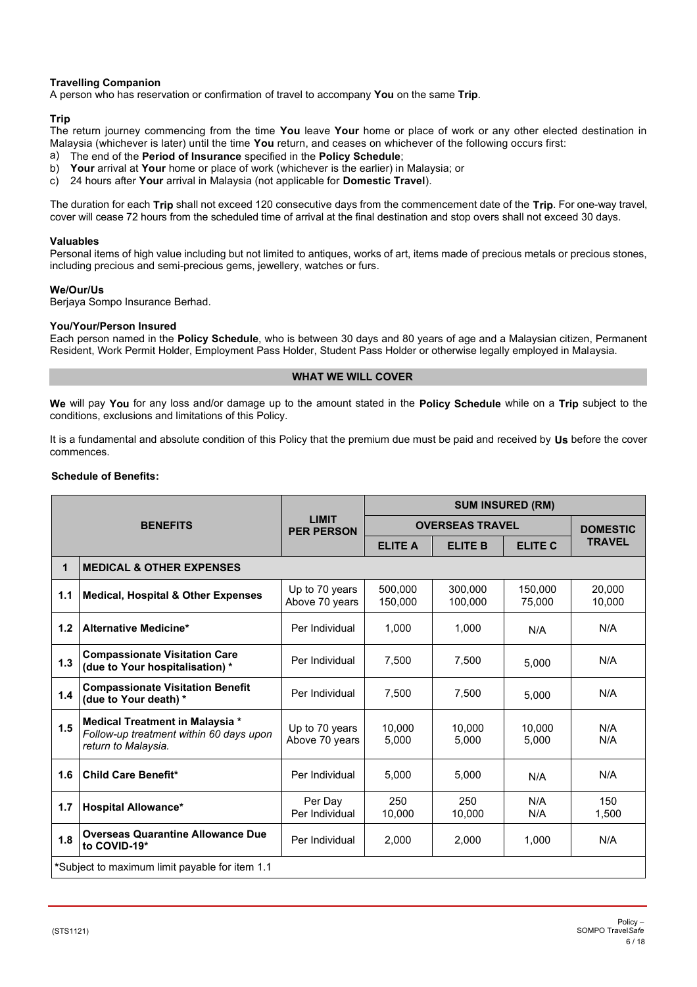# **Travelling Companion**

A person who has reservation or confirmation of travel to accompany **You** on the same **Trip**.

# **Trip**

The return journey commencing from the time **You** leave **Your** home or place of work or any other elected destination in Malaysia (whichever is later) until the time **You** return, and ceases on whichever of the following occurs first:

- a) The end of the **Period of Insurance** specified in the **Policy Schedule**;
- Your arrival at Your home or place of work (whichever is the earlier) in Malaysia; or
- c) 24 hours after **Your** arrival in Malaysia (not applicable for **Domestic Travel**).

The duration for each **Trip** shall not exceed 120 consecutive days from the commencement date of the **Trip**. For one-way travel, cover will cease 72 hours from the scheduled time of arrival at the final destination and stop overs shall not exceed 30 days.

#### **Valuables**

Personal items of high value including but not limited to antiques, works of art, items made of precious metals or precious stones, including precious and semi-precious gems, jewellery, watches or furs.

# **We/Our/Us**

Berjaya Sompo Insurance Berhad.

# **You/Your/Person Insured**

Each person named in the **Policy Schedule**, who is between 30 days and 80 years of age and a Malaysian citizen, Permanent Resident, Work Permit Holder, Employment Pass Holder, Student Pass Holder or otherwise legally employed in Malaysia.

# **WHAT WE WILL COVER**

<span id="page-5-0"></span>**We** will pay **You** for any loss and/or damage up to the amount stated in the **Policy Schedule** while on a **Trip** subject to the conditions, exclusions and limitations of this Policy.

It is a fundamental and absolute condition of this Policy that the premium due must be paid and received by **Us** before the cover commences.

# **Schedule of Benefits:**

| <b>BENEFITS</b> |                                                                                                   | <b>LIMIT</b><br><b>PER PERSON</b> | <b>SUM INSURED (RM)</b> |                    |                   |                  |
|-----------------|---------------------------------------------------------------------------------------------------|-----------------------------------|-------------------------|--------------------|-------------------|------------------|
|                 |                                                                                                   |                                   | <b>OVERSEAS TRAVEL</b>  |                    |                   | <b>DOMESTIC</b>  |
|                 |                                                                                                   |                                   | <b>ELITE A</b>          | <b>ELITE B</b>     | <b>ELITE C</b>    | <b>TRAVEL</b>    |
| 1               | <b>MEDICAL &amp; OTHER EXPENSES</b>                                                               |                                   |                         |                    |                   |                  |
| 1.1             | <b>Medical, Hospital &amp; Other Expenses</b>                                                     | Up to 70 years<br>Above 70 years  | 500.000<br>150,000      | 300.000<br>100,000 | 150.000<br>75,000 | 20.000<br>10,000 |
| 1.2             | <b>Alternative Medicine*</b>                                                                      | Per Individual                    | 1,000                   | 1,000              | N/A               | N/A              |
| 1.3             | <b>Compassionate Visitation Care</b><br>(due to Your hospitalisation) *                           | Per Individual                    | 7.500                   | 7.500              | 5.000             | N/A              |
| 1.4             | <b>Compassionate Visitation Benefit</b><br>(due to Your death) *                                  | Per Individual                    | 7,500                   | 7,500              | 5,000             | N/A              |
| 1.5             | Medical Treatment in Malaysia *<br>Follow-up treatment within 60 days upon<br>return to Malaysia. | Up to 70 years<br>Above 70 years  | 10.000<br>5,000         | 10.000<br>5,000    | 10.000<br>5,000   | N/A<br>N/A       |
| 1.6             | Child Care Benefit*                                                                               | Per Individual                    | 5.000                   | 5.000              | N/A               | N/A              |
| 1.7             | <b>Hospital Allowance*</b>                                                                        | Per Dav<br>Per Individual         | 250<br>10,000           | 250<br>10,000      | N/A<br>N/A        | 150<br>1,500     |
| 1.8             | <b>Overseas Quarantine Allowance Due</b><br>to COVID-19*                                          | Per Individual                    | 2.000                   | 2.000              | 1.000             | N/A              |
|                 | *Subject to maximum limit payable for item 1.1                                                    |                                   |                         |                    |                   |                  |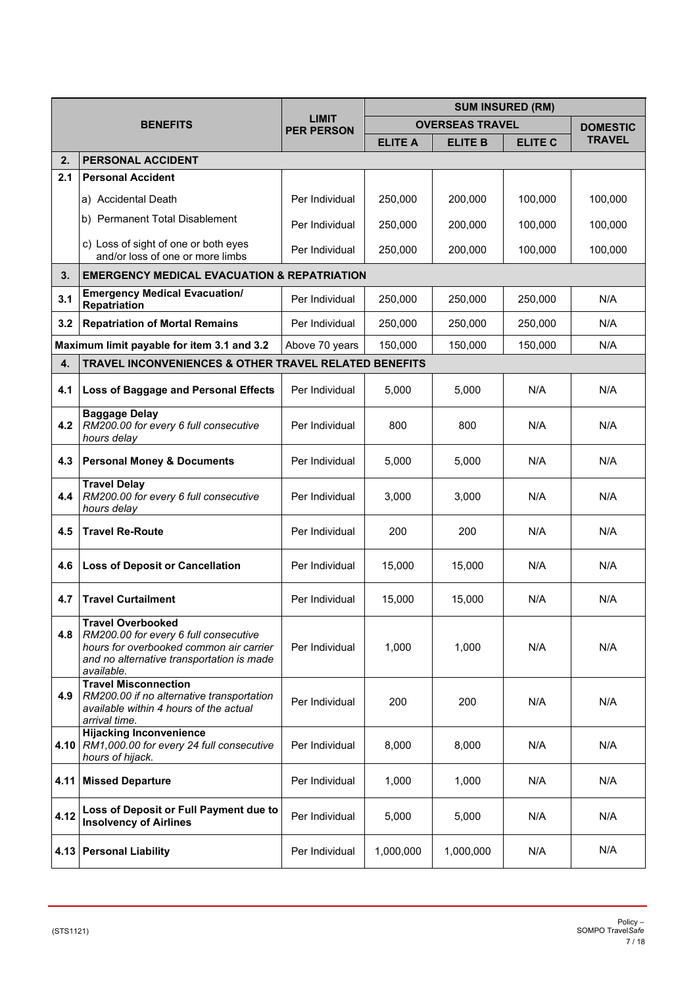| <b>BENEFITS</b> |                                                                                                                                                                         | <b>LIMIT</b><br><b>PER PERSON</b> | <b>SUM INSURED (RM)</b> |                        |                |                 |
|-----------------|-------------------------------------------------------------------------------------------------------------------------------------------------------------------------|-----------------------------------|-------------------------|------------------------|----------------|-----------------|
|                 |                                                                                                                                                                         |                                   |                         | <b>OVERSEAS TRAVEL</b> |                | <b>DOMESTIC</b> |
|                 |                                                                                                                                                                         |                                   | <b>ELITE A</b>          | <b>ELITE B</b>         | <b>ELITE C</b> | <b>TRAVEL</b>   |
| 2.              | <b>PERSONAL ACCIDENT</b>                                                                                                                                                |                                   |                         |                        |                |                 |
| 2.1             | <b>Personal Accident</b>                                                                                                                                                |                                   |                         |                        |                |                 |
|                 | a) Accidental Death                                                                                                                                                     | Per Individual                    | 250,000                 | 200,000                | 100,000        | 100,000         |
|                 | b) Permanent Total Disablement                                                                                                                                          | Per Individual                    | 250,000                 | 200,000                | 100,000        | 100,000         |
|                 | c) Loss of sight of one or both eyes<br>and/or loss of one or more limbs                                                                                                | Per Individual                    | 250,000                 | 200,000                | 100,000        | 100,000         |
| 3.              | <b>EMERGENCY MEDICAL EVACUATION &amp; REPATRIATION</b>                                                                                                                  |                                   |                         |                        |                |                 |
| 3.1             | <b>Emergency Medical Evacuation/</b><br>Repatriation                                                                                                                    | Per Individual                    | 250,000                 | 250,000                | 250,000        | N/A             |
| 3.2             | <b>Repatriation of Mortal Remains</b>                                                                                                                                   | Per Individual                    | 250,000                 | 250,000                | 250.000        | N/A             |
|                 | Maximum limit payable for item 3.1 and 3.2                                                                                                                              | Above 70 years                    | 150,000                 | 150,000                | 150,000        | N/A             |
| 4.              | <b>TRAVEL INCONVENIENCES &amp; OTHER TRAVEL RELATED BENEFITS</b>                                                                                                        |                                   |                         |                        |                |                 |
| 4.1             | Loss of Baggage and Personal Effects                                                                                                                                    | Per Individual                    | 5,000                   | 5,000                  | N/A            | N/A             |
| 4.2             | <b>Baggage Delay</b><br>RM200.00 for every 6 full consecutive<br>hours delay                                                                                            | Per Individual                    | 800                     | 800                    | N/A            | N/A             |
| 4.3             | <b>Personal Money &amp; Documents</b>                                                                                                                                   | Per Individual                    | 5,000                   | 5,000                  | N/A            | N/A             |
| 4.4             | <b>Travel Delay</b><br>RM200.00 for every 6 full consecutive<br>hours delay                                                                                             | Per Individual                    | 3,000                   | 3,000                  | N/A            | N/A             |
| 4.5             | <b>Travel Re-Route</b>                                                                                                                                                  | Per Individual                    | 200                     | 200                    | N/A            | N/A             |
| 4.6             | <b>Loss of Deposit or Cancellation</b>                                                                                                                                  | Per Individual                    | 15,000                  | 15,000                 | N/A            | N/A             |
| 4.7             | <b>Travel Curtailment</b>                                                                                                                                               | Per Individual                    | 15,000                  | 15,000                 | N/A            | N/A             |
| 4.8             | <b>Travel Overbooked</b><br>RM200.00 for every 6 full consecutive<br>hours for overbooked common air carrier<br>and no alternative transportation is made<br>available. | Per Individual                    | 1,000                   | 1,000                  | N/A            | N/A             |
| 4.9             | <b>Travel Misconnection</b><br>RM200.00 if no alternative transportation<br>available within 4 hours of the actual<br>arrival time.                                     | Per Individual                    | 200                     | 200                    | N/A            | N/A             |
|                 | <b>Hijacking Inconvenience</b><br>4.10   RM1,000.00 for every 24 full consecutive<br>hours of hijack.                                                                   | Per Individual                    | 8,000                   | 8,000                  | N/A            | N/A             |
|                 | 4.11 Missed Departure                                                                                                                                                   | Per Individual                    | 1,000                   | 1,000                  | N/A            | N/A             |
| 4.12            | Loss of Deposit or Full Payment due to<br><b>Insolvency of Airlines</b>                                                                                                 | Per Individual                    | 5,000                   | 5,000                  | N/A            | N/A             |
|                 | 4.13 Personal Liability                                                                                                                                                 | Per Individual                    | 1,000,000               | 1,000,000              | N/A            | N/A             |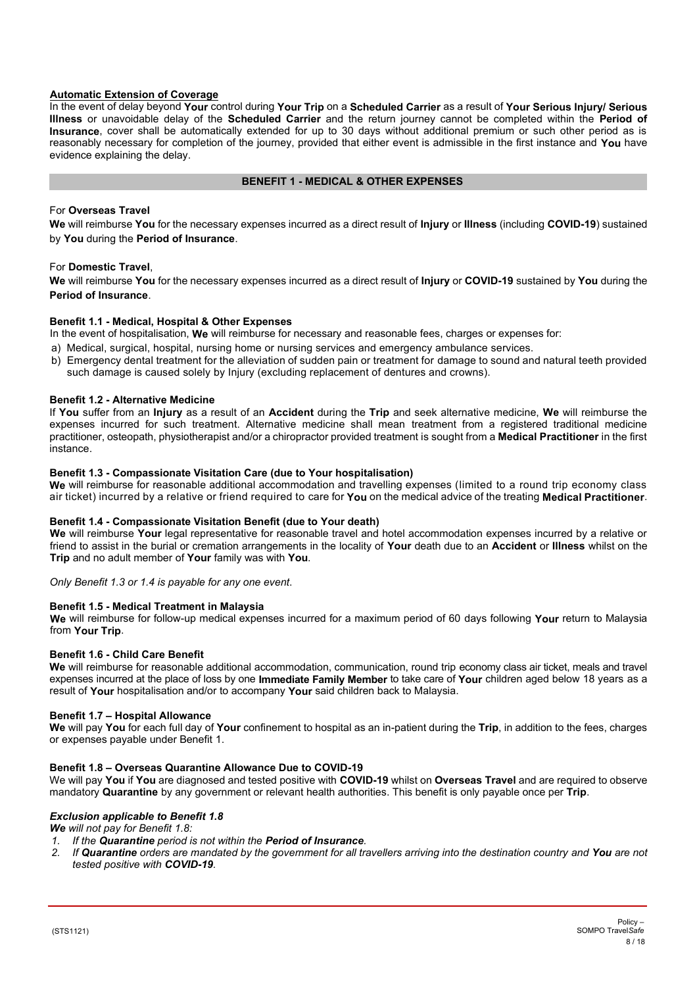# **Automatic Extension of Coverage**

In the event of delay beyond **Your** control during **Your Trip** on a **Scheduled Carrier** as a result of **Your Serious Injury/ Serious Illness** or unavoidable delay of the **Scheduled Carrier** and the return journey cannot be completed within the **Period of Insurance**, cover shall be automatically extended for up to 30 days without additional premium or such other period as is reasonably necessary for completion of the journey, provided that either event is admissible in the first instance and **You** have evidence explaining the delay.

# **BENEFIT 1 - MEDICAL & OTHER EXPENSES**

# <span id="page-7-0"></span>For **Overseas Travel**

**We** will reimburse **You** for the necessary expenses incurred as a direct result of **Injury** or **Illness** (including **COVID-19**) sustained by **You** during the **Period of Insurance**.

# For **Domestic Travel**,

**We** will reimburse **You** for the necessary expenses incurred as a direct result of **Injury** or **COVID-19** sustained by **You** during the **Period of Insurance**.

#### **Benefit 1.1 - Medical, Hospital & Other Expenses**

In the event of hospitalisation, **We** will reimburse for necessary and reasonable fees, charges or expenses for:

- a) Medical, surgical, hospital, nursing home or nursing services and emergency ambulance services.
- b) Emergency dental treatment for the alleviation of sudden pain or treatment for damage to sound and natural teeth provided such damage is caused solely by Injury (excluding replacement of dentures and crowns).

#### **Benefit 1.2 - Alternative Medicine**

If **You** suffer from an **Injury** as a result of an **Accident** during the **Trip** and seek alternative medicine, **We** will reimburse the expenses incurred for such treatment. Alternative medicine shall mean treatment from a registered traditional medicine practitioner, osteopath, physiotherapist and/or a chiropractor provided treatment is sought from a **Medical Practitioner** in the first instance.

#### **Benefit 1.3 - Compassionate Visitation Care (due to Your hospitalisation)**

**We** will reimburse for reasonable additional accommodation and travelling expenses (limited to a round trip economy class air ticket) incurred by a relative or friend required to care for **You** on the medical advice of the treating **Medical Practitioner**.

#### **Benefit 1.4 - Compassionate Visitation Benefit (due to Your death)**

**We** will reimburse **Your** legal representative for reasonable travel and hotel accommodation expenses incurred by a relative or friend to assist in the burial or cremation arrangements in the locality of **Your** death due to an **Accident** or **Illness** whilst on the **Trip** and no adult member of **Your** family was with **You**.

*Only Benefit 1.3 or 1.4 is payable for any one event*.

#### **Benefit 1.5 - Medical Treatment in Malaysia**

**We** will reimburse for follow-up medical expenses incurred for a maximum period of 60 days following **Your** return to Malaysia from **Your Trip**.

#### **Benefit 1.6 - Child Care Benefit**

**We** will reimburse for reasonable additional accommodation, communication, round trip economy class air ticket, meals and travel expenses incurred at the place of loss by one **Immediate Family Member** to take care of **Your** children aged below 18 years as a result of **Your** hospitalisation and/or to accompany **Your** said children back to Malaysia.

#### **Benefit 1.7 – Hospital Allowance**

**We** will pay **You** for each full day of **Your** confinement to hospital as an in-patient during the **Trip**, in addition to the fees, charges or expenses payable under Benefit 1.

#### **Benefit 1.8 – Overseas Quarantine Allowance Due to COVID-19**

We will pay **You** if **You** are diagnosed and tested positive with **COVID-19** whilst on **Overseas Travel** and are required to observe mandatory **Quarantine** by any government or relevant health authorities. This benefit is only payable once per **Trip**.

# *Exclusion applicable to Benefit 1.8*

*We will not pay for Benefit 1.8:*

- *1. If the Quarantine period is not within the Period of Insurance.*
- *2. If Quarantine orders are mandated by the government for all travellers arriving into the destination country and You are not tested positive with COVID-19.*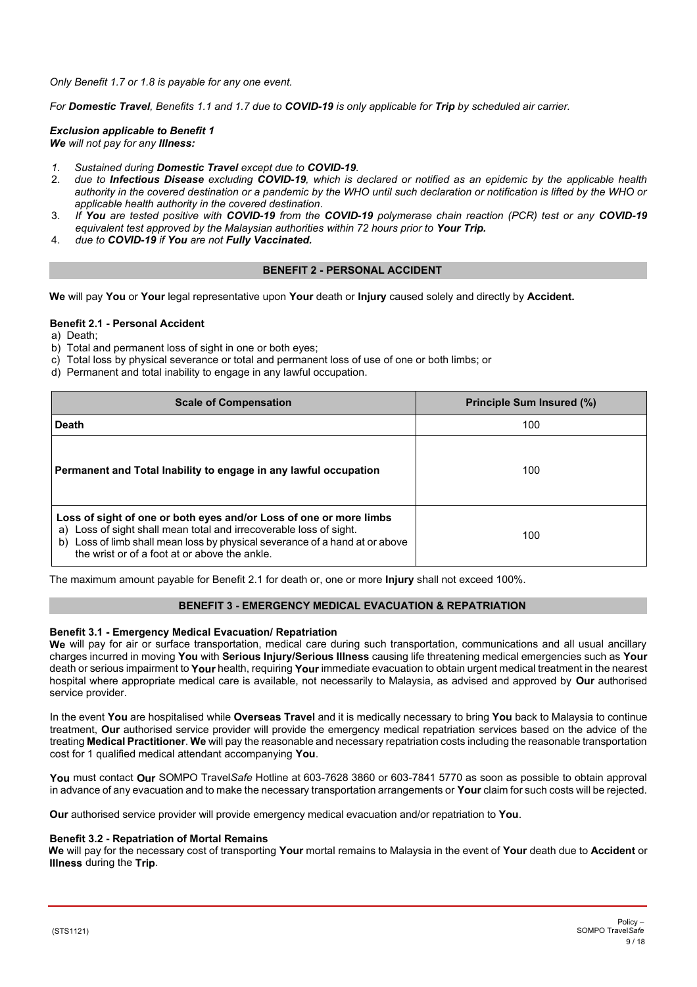*Only Benefit 1.7 or 1.8 is payable for any one event.*

*For Domestic Travel, Benefits 1.1 and 1.7 due to COVID-19 is only applicable for Trip by scheduled air carrier.*

*Exclusion applicable to Benefit 1 We will not pay for any Illness:*

- *1. Sustained during Domestic Travel except due to COVID-19.*
- 2. *due to Infectious Disease excluding COVID-19, which is declared or notified as an epidemic by the applicable health authority in the covered destination or a pandemic by the WHO until such declaration or notification is lifted by the WHO or applicable health authority in the covered destination.*
- 3. *If You are tested positive with COVID-19 from the COVID-19 polymerase chain reaction (PCR) test or any COVID-19 equivalent test approved by the Malaysian authorities within 72 hours prior to Your Trip.*
- 4. *due to COVID-19 if You are not Fully Vaccinated.*

# **BENEFIT 2 - PERSONAL ACCIDENT**

<span id="page-8-0"></span>**We** will pay **You** or **Your** legal representative upon **Your** death or **Injury** caused solely and directly by **Accident.**

#### **Benefit 2.1 - Personal Accident**

a) Death;

- b) Total and permanent loss of sight in one or both eyes;
- c) Total loss by physical severance or total and permanent loss of use of one or both limbs; or
- d) Permanent and total inability to engage in any lawful occupation.

| <b>Scale of Compensation</b>                                                                                                                                                                                                                                                   | <b>Principle Sum Insured (%)</b> |
|--------------------------------------------------------------------------------------------------------------------------------------------------------------------------------------------------------------------------------------------------------------------------------|----------------------------------|
| <b>Death</b>                                                                                                                                                                                                                                                                   | 100                              |
| Permanent and Total Inability to engage in any lawful occupation                                                                                                                                                                                                               | 100                              |
| Loss of sight of one or both eyes and/or Loss of one or more limbs<br>Loss of sight shall mean total and irrecoverable loss of sight.<br>a)<br>Loss of limb shall mean loss by physical severance of a hand at or above<br>b)<br>the wrist or of a foot at or above the ankle. | 100                              |

The maximum amount payable for Benefit 2.1 for death or, one or more **Injury** shall not exceed 100%.

#### **BENEFIT 3 - EMERGENCY MEDICAL EVACUATION & REPATRIATION**

#### <span id="page-8-1"></span>**Benefit 3.1 - Emergency Medical Evacuation/ Repatriation**

**We** will pay for air or surface transportation, medical care during such transportation, communications and all usual ancillary charges incurred in moving **You** with **Serious Injury/Serious Illness** causing life threatening medical emergencies such as **Your**  death or serious impairment to **Your** health, requiring **Your** immediate evacuation to obtain urgent medical treatment in the nearest hospital where appropriate medical care is available, not necessarily to Malaysia, as advised and approved by **Our** authorised service provider.

In the event **You** are hospitalised while **Overseas Travel** and it is medically necessary to bring **You** back to Malaysia to continue treatment, **Our** authorised service provider will provide the emergency medical repatriation services based on the advice of the treating **Medical Practitioner**. **We** will pay the reasonable and necessary repatriation costs including the reasonable transportation cost for 1 qualified medical attendant accompanying **You**.

**You** must contact **Our** SOMPO Travel*Safe* Hotline at 603-7628 3860 or 603-7841 5770 as soon as possible to obtain approval in advance of any evacuation and to make the necessary transportation arrangements or **Your** claim for such costs will be rejected.

**Our** authorised service provider will provide emergency medical evacuation and/or repatriation to **You**.

#### **Benefit 3.2 - Repatriation of Mortal Remains**

**We** will pay for the necessary cost of transporting **Your** mortal remains to Malaysia in the event of **Your** death due to **Accident** or **Illness** during the **Trip**.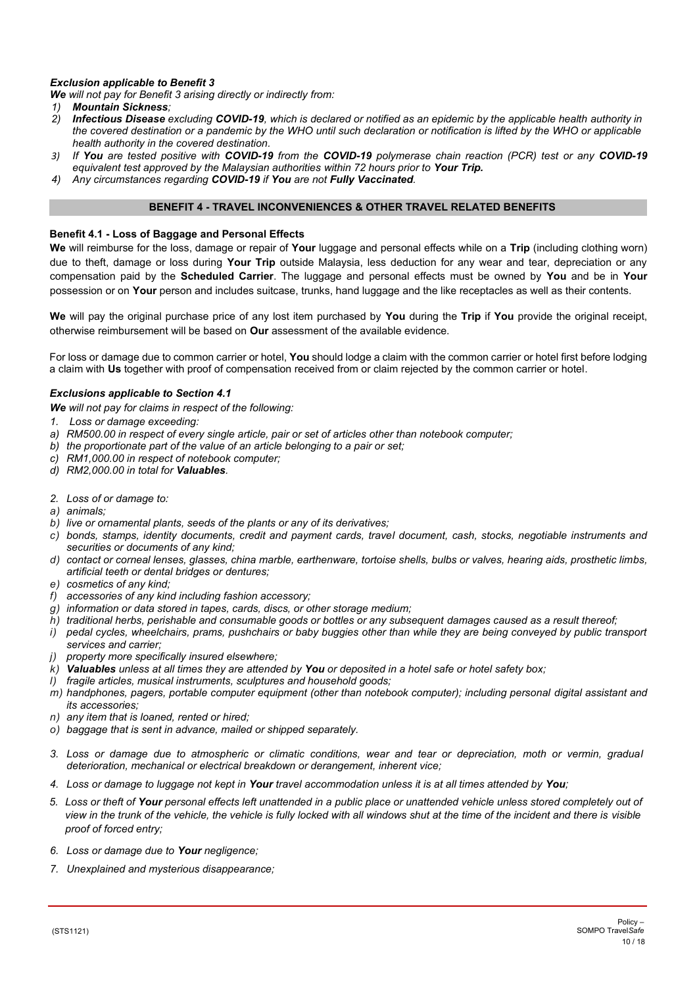# *Exclusion applicable to Benefit 3*

*We will not pay for Benefit 3 arising directly or indirectly from:*

- *1) Mountain Sickness;*
- *2) Infectious Disease excluding COVID-19, which is declared or notified as an epidemic by the applicable health authority in the covered destination or a pandemic by the WHO until such declaration or notification is lifted by the WHO or applicable health authority in the covered destination.*
- *3) If You are tested positive with COVID-19 from the COVID-19 polymerase chain reaction (PCR) test or any COVID-19 equivalent test approved by the Malaysian authorities within 72 hours prior to Your Trip.*
- *4) Any circumstances regarding COVID-19 if You are not Fully Vaccinated.*

# **BENEFIT 4 - TRAVEL INCONVENIENCES & OTHER TRAVEL RELATED BENEFITS**

#### <span id="page-9-0"></span>**Benefit 4.1 - Loss of Baggage and Personal Effects**

**We** will reimburse for the loss, damage or repair of **Your** luggage and personal effects while on a **Trip** (including clothing worn) due to theft, damage or loss during **Your Trip** outside Malaysia, less deduction for any wear and tear, depreciation or any compensation paid by the **Scheduled Carrier**. The luggage and personal effects must be owned by **You** and be in **Your** possession or on **Your** person and includes suitcase, trunks, hand luggage and the like receptacles as well as their contents.

**We** will pay the original purchase price of any lost item purchased by **You** during the **Trip** if **You** provide the original receipt, otherwise reimbursement will be based on **Our** assessment of the available evidence.

For loss or damage due to common carrier or hotel, **You** should lodge a claim with the common carrier or hotel first before lodging a claim with **Us** together with proof of compensation received from or claim rejected by the common carrier or hotel.

#### *Exclusions applicable to Section 4.1*

*We will not pay for claims in respect of the following:*

- *1. Loss or damage exceeding:*
- *a) RM500.00 in respect of every single article, pair or set of articles other than notebook computer;*
- *b) the proportionate part of the value of an article belonging to a pair or set;*
- *c) RM1,000.00 in respect of notebook computer;*
- *d) RM2,000.00 in total for Valuables.*
- *2. Loss of or damage to:*
- *a) animals;*
- *b) live or ornamental plants, seeds of the plants or any of its derivatives;*
- *c) bonds, stamps, identity documents, credit and payment cards, travel document, cash, stocks, negotiable instruments and securities or documents of any kind;*
- *d) contact or corneal lenses, glasses, china marble, earthenware, tortoise shells, bulbs or valves, hearing aids, prosthetic limbs, artificial teeth or dental bridges or dentures;*
- *e) cosmetics of any kind;*
- *f) accessories of any kind including fashion accessory;*
- *g) information or data stored in tapes, cards, discs, or other storage medium;*
- *h) traditional herbs, perishable and consumable goods or bottles or any subsequent damages caused as a result thereof;*
- *i) pedal cycles, wheelchairs, prams, pushchairs or baby buggies other than while they are being conveyed by public transport services and carrier;*
- *j) property more specifically insured elsewhere;*
- *k) Valuables unless at all times they are attended by You or deposited in a hotel safe or hotel safety box;*
- *l) fragile articles, musical instruments, sculptures and household goods;*
- *m) handphones, pagers, portable computer equipment (other than notebook computer); including personal digital assistant and its accessories;*
- *n) any item that is loaned, rented or hired;*
- *o) baggage that is sent in advance, mailed or shipped separately.*
- *3. Loss or damage due to atmospheric or climatic conditions, wear and tear or depreciation, moth or vermin, gradual deterioration, mechanical or electrical breakdown or derangement, inherent vice;*
- *4. Loss or damage to luggage not kept in Your travel accommodation unless it is at all times attended by You;*
- *5. Loss or theft of Your personal effects left unattended in a public place or unattended vehicle unless stored completely out of view in the trunk of the vehicle, the vehicle is fully locked with all windows shut at the time of the incident and there is visible proof of forced entry;*
- *6. Loss or damage due to Your negligence;*
- *7. Unexplained and mysterious disappearance;*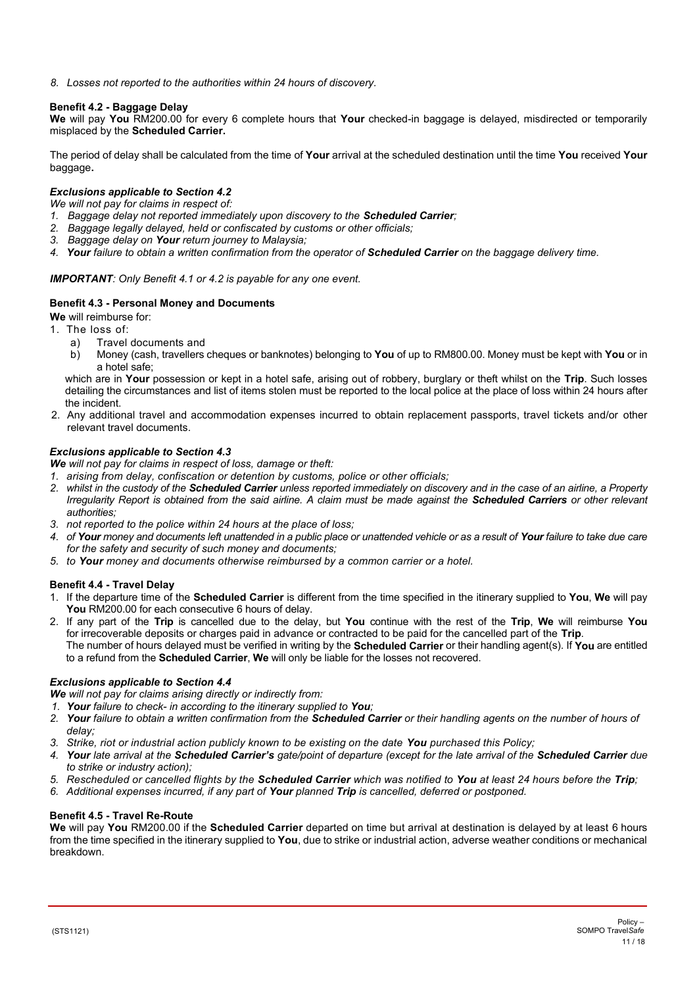*8. Losses not reported to the authorities within 24 hours of discovery.*

# **Benefit 4.2 - Baggage Delay**

**We** will pay **You** RM200.00 for every 6 complete hours that **Your** checked-in baggage is delayed, misdirected or temporarily misplaced by the **Scheduled Carrier.**

The period of delay shall be calculated from the time of **Your** arrival at the scheduled destination until the time **You** received **Your**  baggage**.**

# *Exclusions applicable to Section 4.2*

*We will not pay for claims in respect of:*

- *1. Baggage delay not reported immediately upon discovery to the Scheduled Carrier;*
- *2. Baggage legally delayed, held or confiscated by customs or other officials;*
- *3. Baggage delay on Your return journey to Malaysia;*
- *4. Your failure to obtain a written confirmation from the operator of Scheduled Carrier on the baggage delivery time.*

# *IMPORTANT: Only Benefit 4.1 or 4.2 is payable for any one event.*

# **Benefit 4.3 - Personal Money and Documents**

**We** will reimburse for:

- 1. The loss of:
	- a) Travel documents and<br>b) Money (cash. travellers
	- b) Money (cash, travellers cheques or banknotes) belonging to **You** of up to RM800.00. Money must be kept with **You** or in a hotel safe;

which are in **Your** possession or kept in a hotel safe, arising out of robbery, burglary or theft whilst on the **Trip**. Such losses detailing the circumstances and list of items stolen must be reported to the local police at the place of loss within 24 hours after the incident.

2. Any additional travel and accommodation expenses incurred to obtain replacement passports, travel tickets and/or other relevant travel documents.

# *Exclusions applicable to Section 4.3*

*We will not pay for claims in respect of loss, damage or theft:*

- *1. arising from delay, confiscation or detention by customs, police or other officials;*
- *2. whilst in the custody of the Scheduled Carrier unless reported immediately on discovery and in the case of an airline, a Property Irregularity Report is obtained from the said airline. A claim must be made against the Scheduled Carriers or other relevant authorities;*
- *3. not reported to the police within 24 hours at the place of loss;*
- *4. of Your money and documents left unattended in a public place or unattended vehicle or as a result of Your failure to take due care for the safety and security of such money and documents;*
- *5. to Your money and documents otherwise reimbursed by a common carrier or a hotel.*

# **Benefit 4.4 - Travel Delay**

- 1. If the departure time of the **Scheduled Carrier** is different from the time specified in the itinerary supplied to **You**, **We** will pay **You** RM200.00 for each consecutive 6 hours of delay.
- 2. If any part of the **Trip** is cancelled due to the delay, but **You** continue with the rest of the **Trip**, **We** will reimburse **You** for irrecoverable deposits or charges paid in advance or contracted to be paid for the cancelled part of the **Trip**. The number of hours delayed must be verified in writing by the **Scheduled Carrier** or their handling agent(s). If **You** are entitled to a refund from the **Scheduled Carrier**, **We** will only be liable for the losses not recovered.

#### *Exclusions applicable to Section 4.4*

*We will not pay for claims arising directly or indirectly from:*

- *1. Your failure to check- in according to the itinerary supplied to You;*
- *2. Your failure to obtain a written confirmation from the Scheduled Carrier or their handling agents on the number of hours of delay;*
- *3. Strike, riot or industrial action publicly known to be existing on the date You purchased this Policy;*
- *4. Your late arrival at the Scheduled Carrier's gate/point of departure (except for the late arrival of the Scheduled Carrier due to strike or industry action);*
- *5. Rescheduled or cancelled flights by the Scheduled Carrier which was notified to You at least 24 hours before the Trip;*
- *6. Additional expenses incurred, if any part of Your planned Trip is cancelled, deferred or postponed.*

#### **Benefit 4.5 - Travel Re-Route**

**We** will pay **You** RM200.00 if the **Scheduled Carrier** departed on time but arrival at destination is delayed by at least 6 hours from the time specified in the itinerary supplied to **You**, due to strike or industrial action, adverse weather conditions or mechanical breakdown.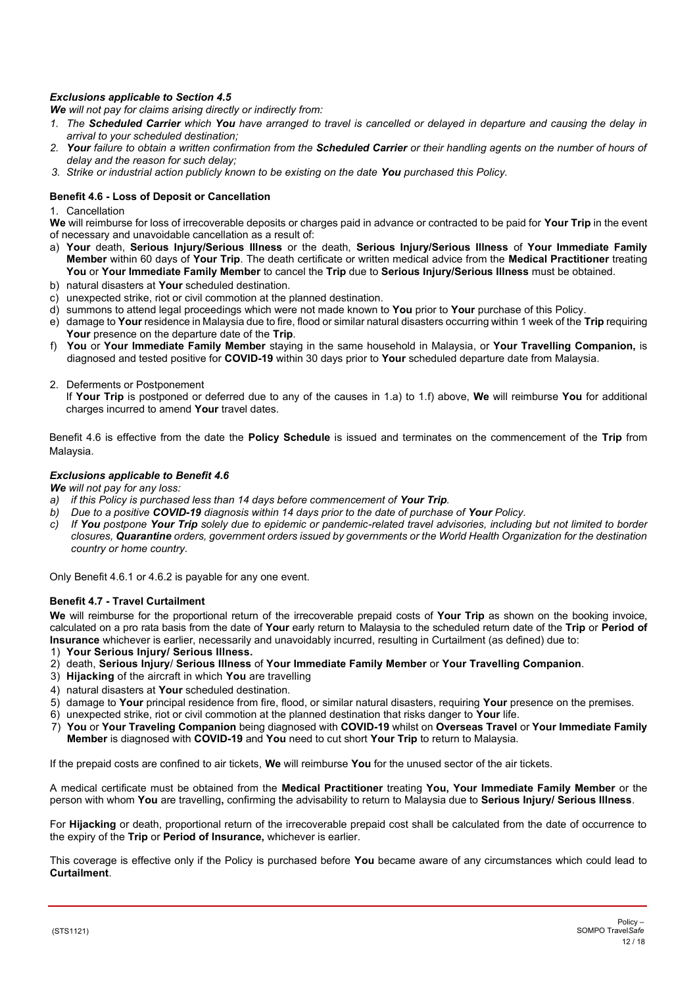# *Exclusions applicable to Section 4.5*

*We will not pay for claims arising directly or indirectly from:*

- *1. The Scheduled Carrier which You have arranged to travel is cancelled or delayed in departure and causing the delay in arrival to your scheduled destination;*
- *2. Your failure to obtain a written confirmation from the Scheduled Carrier or their handling agents on the number of hours of delay and the reason for such delay;*
- *3. Strike or industrial action publicly known to be existing on the date You purchased this Policy.*

# **Benefit 4.6 - Loss of Deposit or Cancellation**

1. Cancellation

**We** will reimburse for loss of irrecoverable deposits or charges paid in advance or contracted to be paid for **Your Trip** in the event of necessary and unavoidable cancellation as a result of:

- a) **Your** death, **Serious Injury/Serious Illness** or the death, **Serious Injury/Serious Illness** of **Your Immediate Family Member** within 60 days of **Your Trip**. The death certificate or written medical advice from the **Medical Practitioner** treating **You** or **Your Immediate Family Member** to cancel the **Trip** due to **Serious Injury/Serious Illness** must be obtained.
- b) natural disasters at **Your** scheduled destination.
- c) unexpected strike, riot or civil commotion at the planned destination.
- d) summons to attend legal proceedings which were not made known to **You** prior to **Your** purchase of this Policy.
- e) damage to **Your** residence in Malaysia due to fire, flood or similar natural disasters occurring within 1 week of the **Trip** requiring **Your** presence on the departure date of the **Trip**.
- f) **You** or **Your Immediate Family Member** staying in the same household in Malaysia, or **Your Travelling Companion,** is diagnosed and tested positive for **COVID-19** within 30 days prior to **Your** scheduled departure date from Malaysia.
- 2. Deferments or Postponement

If **Your Trip** is postponed or deferred due to any of the causes in 1.a) to 1.f) above, **We** will reimburse **You** for additional charges incurred to amend **Your** travel dates.

Benefit 4.6 is effective from the date the **Policy Schedule** is issued and terminates on the commencement of the **Trip** from Malaysia.

# *Exclusions applicable to Benefit 4.6*

*We will not pay for any loss:*

- *a) if this Policy is purchased less than 14 days before commencement of Your Trip.*
- *b) Due to a positive COVID-19 diagnosis within 14 days prior to the date of purchase of Your Policy.*
- *c) If You postpone Your Trip solely due to epidemic or pandemic-related travel advisories, including but not limited to border closures, Quarantine orders, government orders issued by governments or the World Health Organization for the destination country or home country.*

Only Benefit 4.6.1 or 4.6.2 is payable for any one event.

#### **Benefit 4.7 - Travel Curtailment**

**We** will reimburse for the proportional return of the irrecoverable prepaid costs of **Your Trip** as shown on the booking invoice, calculated on a pro rata basis from the date of **Your** early return to Malaysia to the scheduled return date of the **Trip** or **Period of Insurance** whichever is earlier, necessarily and unavoidably incurred, resulting in Curtailment (as defined) due to:

- 1) **Your Serious Injury/ Serious Illness.**
- 2) death, **Serious Injury**/ **Serious Illness** of **Your Immediate Family Member** or **Your Travelling Companion**.
- 3) **Hijacking** of the aircraft in which **You** are travelling
- 4) natural disasters at **Your** scheduled destination.
- 5) damage to **Your** principal residence from fire, flood, or similar natural disasters, requiring **Your** presence on the premises.
- 6) unexpected strike, riot or civil commotion at the planned destination that risks danger to **Your** life.
- 7) **You** or **Your Traveling Companion** being diagnosed with **COVID-19** whilst on **Overseas Travel** or **Your Immediate Family Member** is diagnosed with **COVID-19** and **You** need to cut short **Your Trip** to return to Malaysia.

If the prepaid costs are confined to air tickets, **We** will reimburse **You** for the unused sector of the air tickets.

A medical certificate must be obtained from the **Medical Practitioner** treating **You, Your Immediate Family Member** or the person with whom **You** are travelling**,** confirming the advisability to return to Malaysia due to **Serious Injury/ Serious Illness**.

For **Hijacking** or death, proportional return of the irrecoverable prepaid cost shall be calculated from the date of occurrence to the expiry of the **Trip** or **Period of Insurance,** whichever is earlier.

This coverage is effective only if the Policy is purchased before **You** became aware of any circumstances which could lead to **Curtailment**.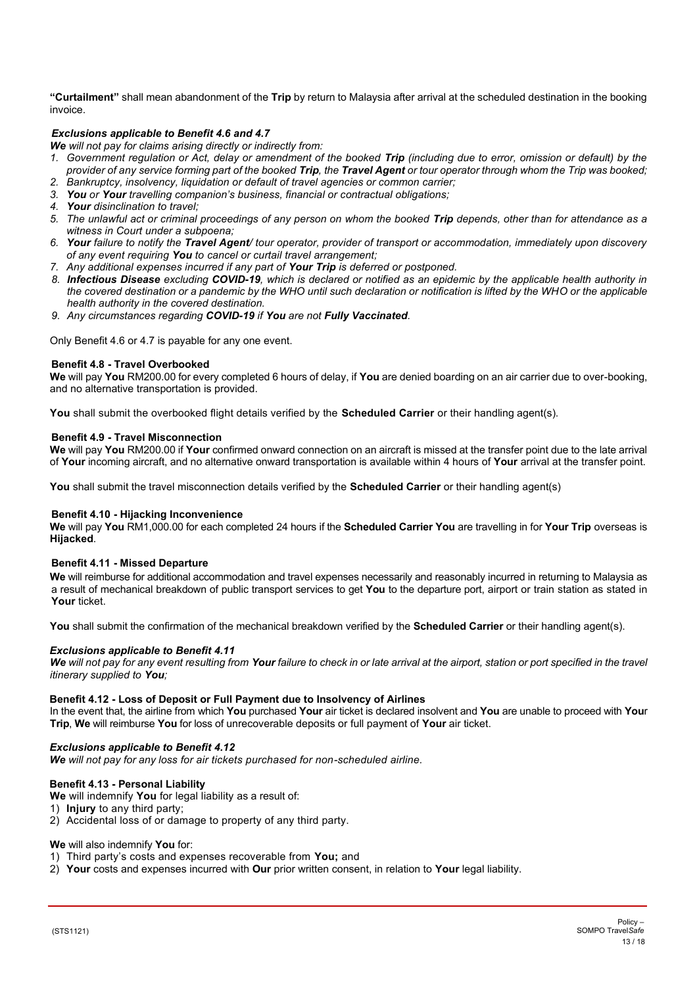**"Curtailment"** shall mean abandonment of the **Trip** by return to Malaysia after arrival at the scheduled destination in the booking invoice.

# *Exclusions applicable to Benefit 4.6 and 4.7*

*We will not pay for claims arising directly or indirectly from:*

- *1. Government regulation or Act, delay or amendment of the booked Trip (including due to error, omission or default) by the provider of any service forming part of the booked Trip, the Travel Agent or tour operator through whom the Trip was booked;*
- *2. Bankruptcy, insolvency, liquidation or default of travel agencies or common carrier; 3. You or Your travelling companion's business, financial or contractual obligations;*
- *4. Your disinclination to travel;*
- *5. The unlawful act or criminal proceedings of any person on whom the booked Trip depends, other than for attendance as a witness in Court under a subpoena;*
- *6. Your failure to notify the Travel Agent/ tour operator, provider of transport or accommodation, immediately upon discovery of any event requiring You to cancel or curtail travel arrangement;*
- *7. Any additional expenses incurred if any part of Your Trip is deferred or postponed.*
- *8. Infectious Disease excluding COVID-19, which is declared or notified as an epidemic by the applicable health authority in the covered destination or a pandemic by the WHO until such declaration or notification is lifted by the WHO or the applicable health authority in the covered destination.*
- *9. Any circumstances regarding COVID-19 if You are not Fully Vaccinated.*

Only Benefit 4.6 or 4.7 is payable for any one event.

#### **Benefit 4.8 - Travel Overbooked**

**We** will pay **You** RM200.00 for every completed 6 hours of delay, if **You** are denied boarding on an air carrier due to over-booking, and no alternative transportation is provided.

**You** shall submit the overbooked flight details verified by the **Scheduled Carrier** or their handling agent(s).

#### **Benefit 4.9 - Travel Misconnection**

**We** will pay **You** RM200.00 if **Your** confirmed onward connection on an aircraft is missed at the transfer point due to the late arrival of **Your** incoming aircraft, and no alternative onward transportation is available within 4 hours of **Your** arrival at the transfer point.

You shall submit the travel misconnection details verified by the **Scheduled Carrier** or their handling agent(s)

#### **Benefit 4.10 - Hijacking Inconvenience**

**We** will pay **You** RM1,000.00 for each completed 24 hours if the **Scheduled Carrier You** are travelling in for **Your Trip** overseas is **Hijacked**.

#### **Benefit 4.11 - Missed Departure**

**We** will reimburse for additional accommodation and travel expenses necessarily and reasonably incurred in returning to Malaysia as a result of mechanical breakdown of public transport services to get **You** to the departure port, airport or train station as stated in **Your** ticket.

**You** shall submit the confirmation of the mechanical breakdown verified by the **Scheduled Carrier** or their handling agent(s).

#### *Exclusions applicable to Benefit 4.11*

*We will not pay for any event resulting from Your failure to check in or late arrival at the airport, station or port specified in the travel itinerary supplied to You;*

#### **Benefit 4.12 - Loss of Deposit or Full Payment due to Insolvency of Airlines**

In the event that, the airline from which **You** purchased **Your** air ticket is declared insolvent and **You** are unable to proceed with **You**r **Trip**, **We** will reimburse **You** for loss of unrecoverable deposits or full payment of **Your** air ticket.

#### *Exclusions applicable to Benefit 4.12*

*We will not pay for any loss for air tickets purchased for non-scheduled airline.*

#### **Benefit 4.13 - Personal Liability**

- **We** will indemnify **You** for legal liability as a result of:
- 1) **Injury** to any third party;
- 2) Accidental loss of or damage to property of any third party.

#### **We** will also indemnify **You** for:

- 1) Third party's costs and expenses recoverable from **You;** and
- 2) **Your** costs and expenses incurred with **Our** prior written consent, in relation to **Your** legal liability.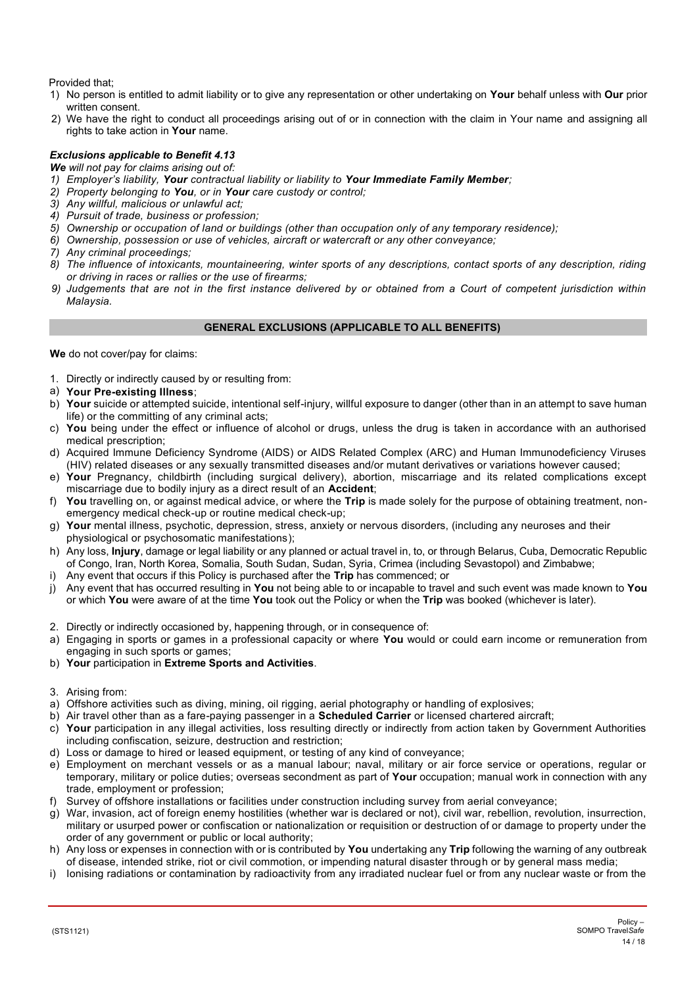Provided that;

- 1) No person is entitled to admit liability or to give any representation or other undertaking on **Your** behalf unless with **Our** prior written consent.
- 2) We have the right to conduct all proceedings arising out of or in connection with the claim in Your name and assigning all rights to take action in **Your** name.

# *Exclusions applicable to Benefit 4.13*

*We will not pay for claims arising out of:*

- *1) Employer's liability, Your contractual liability or liability to Your Immediate Family Member;*
- *2) Property belonging to You, or in Your care custody or control;*
- *3) Any willful, malicious or unlawful act;*
- *4) Pursuit of trade, business or profession;*
- *5) Ownership or occupation of land or buildings (other than occupation only of any temporary residence);*
- *6) Ownership, possession or use of vehicles, aircraft or watercraft or any other conveyance;*
- *7) Any criminal proceedings;*
- *8) The influence of intoxicants, mountaineering, winter sports of any descriptions, contact sports of any description, riding or driving in races or rallies or the use of firearms;*
- *9) Judgements that are not in the first instance delivered by or obtained from a Court of competent jurisdiction within Malaysia.*

# **GENERAL EXCLUSIONS (APPLICABLE TO ALL BENEFITS)**

<span id="page-13-0"></span>**We** do not cover/pay for claims:

- 1. Directly or indirectly caused by or resulting from:
- a) **Your Pre-existing Illness**;
- b) **Your** suicide or attempted suicide, intentional self-injury, willful exposure to danger (other than in an attempt to save human life) or the committing of any criminal acts;
- c) **You** being under the effect or influence of alcohol or drugs, unless the drug is taken in accordance with an authorised medical prescription;
- d) Acquired Immune Deficiency Syndrome (AIDS) or AIDS Related Complex (ARC) and Human Immunodeficiency Viruses (HIV) related diseases or any sexually transmitted diseases and/or mutant derivatives or variations however caused;
- e) **Your** Pregnancy, childbirth (including surgical delivery), abortion, miscarriage and its related complications except miscarriage due to bodily injury as a direct result of an **Accident**;
- f) **You** travelling on, or against medical advice, or where the **Trip** is made solely for the purpose of obtaining treatment, nonemergency medical check-up or routine medical check-up;
- g) **Your** mental illness, psychotic, depression, stress, anxiety or nervous disorders, (including any neuroses and their physiological or psychosomatic manifestations);
- h) Any loss, **Injury**, damage or legal liability or any planned or actual travel in, to, or through Belarus, Cuba, Democratic Republic of Congo, Iran, North Korea, Somalia, South Sudan, Sudan, Syria, Crimea (including Sevastopol) and Zimbabwe;
- i) Any event that occurs if this Policy is purchased after the **Trip** has commenced; or
- j) Any event that has occurred resulting in **You** not being able to or incapable to travel and such event was made known to **You** or which **You** were aware of at the time **You** took out the Policy or when the **Trip** was booked (whichever is later).
- 2. Directly or indirectly occasioned by, happening through, or in consequence of:
- a) Engaging in sports or games in a professional capacity or where **You** would or could earn income or remuneration from engaging in such sports or games;
- b) **Your** participation in **Extreme Sports and Activities**.
- 3. Arising from:
- a) Offshore activities such as diving, mining, oil rigging, aerial photography or handling of explosives;
- b) Air travel other than as a fare-paying passenger in a **Scheduled Carrier** or licensed chartered aircraft;
- c) **Your** participation in any illegal activities, loss resulting directly or indirectly from action taken by Government Authorities including confiscation, seizure, destruction and restriction;
- d) Loss or damage to hired or leased equipment, or testing of any kind of conveyance;
- e) Employment on merchant vessels or as a manual labour; naval, military or air force service or operations, regular or temporary, military or police duties; overseas secondment as part of **Your** occupation; manual work in connection with any trade, employment or profession;
- f) Survey of offshore installations or facilities under construction including survey from aerial conveyance;
- g) War, invasion, act of foreign enemy hostilities (whether war is declared or not), civil war, rebellion, revolution, insurrection, military or usurped power or confiscation or nationalization or requisition or destruction of or damage to property under the order of any government or public or local authority;
- h) Any loss or expenses in connection with or is contributed by **You** undertaking any **Trip** following the warning of any outbreak of disease, intended strike, riot or civil commotion, or impending natural disaster through or by general mass media;
- i) Ionising radiations or contamination by radioactivity from any irradiated nuclear fuel or from any nuclear waste or from the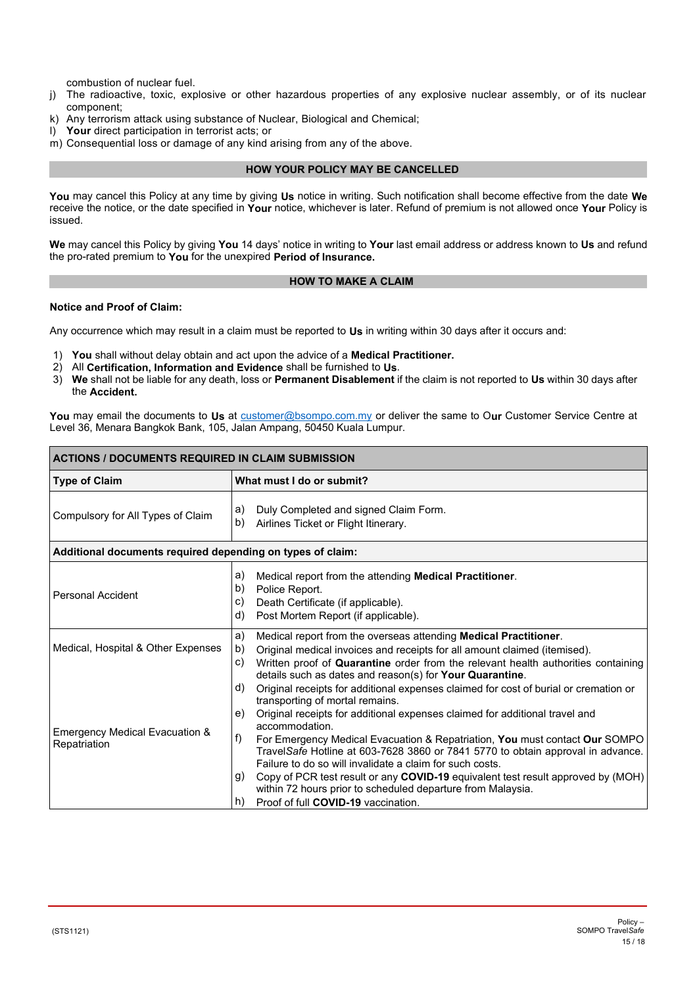combustion of nuclear fuel.

- j) The radioactive, toxic, explosive or other hazardous properties of any explosive nuclear assembly, or of its nuclear component;
- k) Any terrorism attack using substance of Nuclear, Biological and Chemical;<br>I) Your direct participation in terrorist acts; or
- Your direct participation in terrorist acts; or
- m) Consequential loss or damage of any kind arising from any of the above.

# **HOW YOUR POLICY MAY BE CANCELLED**

<span id="page-14-0"></span>**You** may cancel this Policy at any time by giving **Us** notice in writing. Such notification shall become effective from the date **We**  receive the notice, or the date specified in **Your** notice, whichever is later. Refund of premium is not allowed once **Your** Policy is issued.

**We** may cancel this Policy by giving **You** 14 days' notice in writing to **Your** last email address or address known to **Us** and refund the pro-rated premium to **You** for the unexpired **Period of Insurance.** 

# **HOW TO MAKE A CLAIM**

# <span id="page-14-1"></span>**Notice and Proof of Claim:**

Any occurrence which may result in a claim must be reported to **Us** in writing within 30 days after it occurs and:

- 1) **You** shall without delay obtain and act upon the advice of a **Medical Practitioner.**
- 2) All **Certification, Information and Evidence** shall be furnished to **Us**.
- 3) **We** shall not be liable for any death, loss or **Permanent Disablement** if the claim is not reported to **Us** within 30 days after the **Accident.**

**You** may email the documents to **Us** at [customer@bsompo.com.my](mailto:customer@bsompo.com.my) or deliver the same to O**ur** Customer Service Centre at Level 36, Menara Bangkok Bank, 105, Jalan Ampang, 50450 Kuala Lumpur.

| <b>ACTIONS / DOCUMENTS REQUIRED IN CLAIM SUBMISSION</b>    |                                                                                                                                                                                                                                                                                                                                                                                                                                                                                                                                                                                  |  |  |  |
|------------------------------------------------------------|----------------------------------------------------------------------------------------------------------------------------------------------------------------------------------------------------------------------------------------------------------------------------------------------------------------------------------------------------------------------------------------------------------------------------------------------------------------------------------------------------------------------------------------------------------------------------------|--|--|--|
| <b>Type of Claim</b>                                       | What must I do or submit?                                                                                                                                                                                                                                                                                                                                                                                                                                                                                                                                                        |  |  |  |
| Compulsory for All Types of Claim                          | Duly Completed and signed Claim Form.<br>a)<br>b)<br>Airlines Ticket or Flight Itinerary.                                                                                                                                                                                                                                                                                                                                                                                                                                                                                        |  |  |  |
| Additional documents required depending on types of claim: |                                                                                                                                                                                                                                                                                                                                                                                                                                                                                                                                                                                  |  |  |  |
| <b>Personal Accident</b>                                   | Medical report from the attending <b>Medical Practitioner</b> .<br>a)<br>b)<br>Police Report.<br>Death Certificate (if applicable).<br>C)<br>d)<br>Post Mortem Report (if applicable).                                                                                                                                                                                                                                                                                                                                                                                           |  |  |  |
| Medical, Hospital & Other Expenses                         | a)<br>Medical report from the overseas attending Medical Practitioner.<br>b)<br>Original medical invoices and receipts for all amount claimed (itemised).<br>Written proof of Quarantine order from the relevant health authorities containing<br>C)<br>details such as dates and reason(s) for <b>Your Quarantine</b> .<br>Original receipts for additional expenses claimed for cost of burial or cremation or<br>d)                                                                                                                                                           |  |  |  |
| <b>Emergency Medical Evacuation &amp;</b><br>Repatriation  | transporting of mortal remains.<br>Original receipts for additional expenses claimed for additional travel and<br>e)<br>accommodation.<br>f)<br>For Emergency Medical Evacuation & Repatriation, You must contact Our SOMPO<br>TravelSafe Hotline at 603-7628 3860 or 7841 5770 to obtain approval in advance.<br>Failure to do so will invalidate a claim for such costs.<br>Copy of PCR test result or any COVID-19 equivalent test result approved by (MOH)<br>g)<br>within 72 hours prior to scheduled departure from Malaysia.<br>Proof of full COVID-19 vaccination.<br>h) |  |  |  |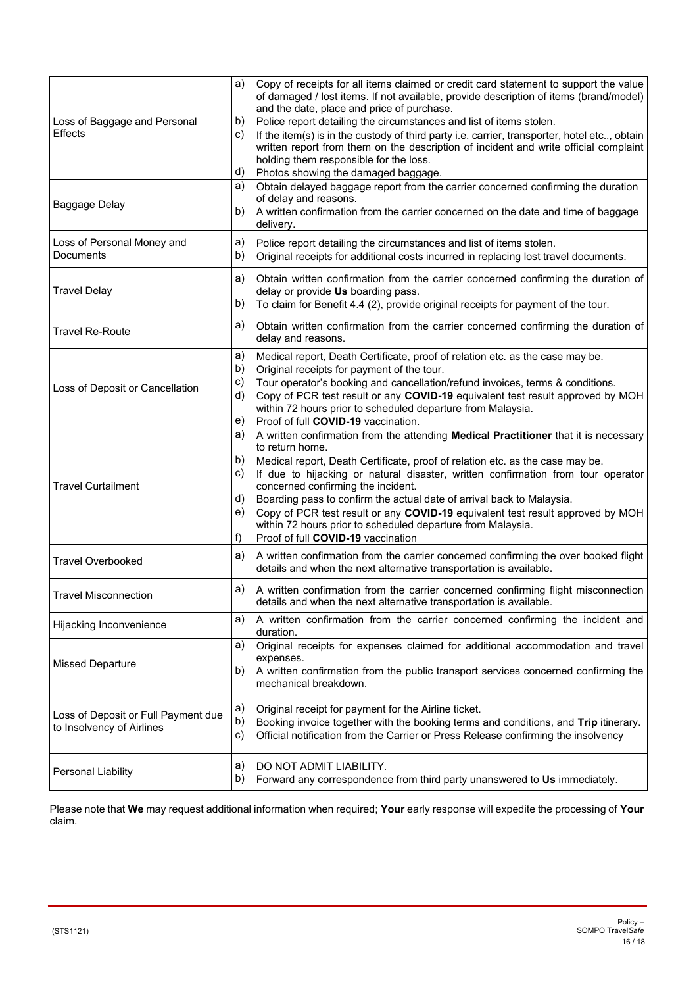| Loss of Baggage and Personal<br><b>Effects</b>                   | a)<br>Copy of receipts for all items claimed or credit card statement to support the value<br>of damaged / lost items. If not available, provide description of items (brand/model)<br>and the date, place and price of purchase.<br>b)<br>Police report detailing the circumstances and list of items stolen.<br>If the item(s) is in the custody of third party i.e. carrier, transporter, hotel etc, obtain<br>C)<br>written report from them on the description of incident and write official complaint<br>holding them responsible for the loss.<br>d)<br>Photos showing the damaged baggage.                   |
|------------------------------------------------------------------|-----------------------------------------------------------------------------------------------------------------------------------------------------------------------------------------------------------------------------------------------------------------------------------------------------------------------------------------------------------------------------------------------------------------------------------------------------------------------------------------------------------------------------------------------------------------------------------------------------------------------|
| Baggage Delay                                                    | Obtain delayed baggage report from the carrier concerned confirming the duration<br>a)<br>of delay and reasons.<br>b)<br>A written confirmation from the carrier concerned on the date and time of baggage<br>delivery.                                                                                                                                                                                                                                                                                                                                                                                               |
| Loss of Personal Money and<br>Documents                          | Police report detailing the circumstances and list of items stolen.<br>a)<br>b)<br>Original receipts for additional costs incurred in replacing lost travel documents.                                                                                                                                                                                                                                                                                                                                                                                                                                                |
| <b>Travel Delay</b>                                              | a)<br>Obtain written confirmation from the carrier concerned confirming the duration of<br>delay or provide Us boarding pass.<br>To claim for Benefit 4.4 (2), provide original receipts for payment of the tour.<br>b)                                                                                                                                                                                                                                                                                                                                                                                               |
| <b>Travel Re-Route</b>                                           | Obtain written confirmation from the carrier concerned confirming the duration of<br>a)<br>delay and reasons.                                                                                                                                                                                                                                                                                                                                                                                                                                                                                                         |
| Loss of Deposit or Cancellation                                  | Medical report, Death Certificate, proof of relation etc. as the case may be.<br>a)<br>b)<br>Original receipts for payment of the tour.<br>C)<br>Tour operator's booking and cancellation/refund invoices, terms & conditions.<br>Copy of PCR test result or any COVID-19 equivalent test result approved by MOH<br>d)<br>within 72 hours prior to scheduled departure from Malaysia.<br>Proof of full COVID-19 vaccination.<br>e)                                                                                                                                                                                    |
| <b>Travel Curtailment</b>                                        | a)<br>A written confirmation from the attending Medical Practitioner that it is necessary<br>to return home.<br>b)<br>Medical report, Death Certificate, proof of relation etc. as the case may be.<br>C)<br>If due to hijacking or natural disaster, written confirmation from tour operator<br>concerned confirming the incident.<br>Boarding pass to confirm the actual date of arrival back to Malaysia.<br>d)<br>Copy of PCR test result or any COVID-19 equivalent test result approved by MOH<br>e)<br>within 72 hours prior to scheduled departure from Malaysia.<br>f)<br>Proof of full COVID-19 vaccination |
| <b>Travel Overbooked</b>                                         | A written confirmation from the carrier concerned confirming the over booked flight<br>a)<br>details and when the next alternative transportation is available.                                                                                                                                                                                                                                                                                                                                                                                                                                                       |
| <b>Travel Misconnection</b>                                      | A written confirmation from the carrier concerned confirming flight misconnection<br>a)<br>details and when the next alternative transportation is available.                                                                                                                                                                                                                                                                                                                                                                                                                                                         |
| Hijacking Inconvenience                                          | A written confirmation from the carrier concerned confirming the incident and<br>a)<br>duration.                                                                                                                                                                                                                                                                                                                                                                                                                                                                                                                      |
| <b>Missed Departure</b>                                          | Original receipts for expenses claimed for additional accommodation and travel<br>a)<br>expenses.<br>b)<br>A written confirmation from the public transport services concerned confirming the<br>mechanical breakdown.                                                                                                                                                                                                                                                                                                                                                                                                |
| Loss of Deposit or Full Payment due<br>to Insolvency of Airlines | a)<br>Original receipt for payment for the Airline ticket.<br>b)<br>Booking invoice together with the booking terms and conditions, and Trip itinerary.<br>C)<br>Official notification from the Carrier or Press Release confirming the insolvency                                                                                                                                                                                                                                                                                                                                                                    |
| Personal Liability                                               | DO NOT ADMIT LIABILITY.<br>a)<br>b)<br>Forward any correspondence from third party unanswered to Us immediately.                                                                                                                                                                                                                                                                                                                                                                                                                                                                                                      |

Please note that **We** may request additional information when required; **Your** early response will expedite the processing of **Your** claim.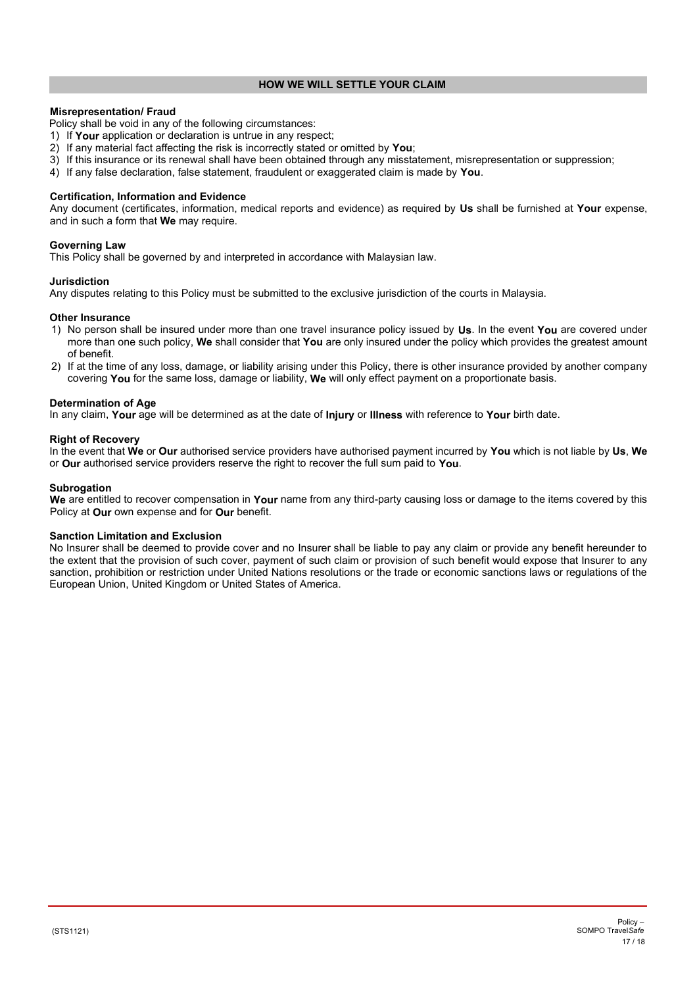# **HOW WE WILL SETTLE YOUR CLAIM**

# <span id="page-16-0"></span>**Misrepresentation/ Fraud**

Policy shall be void in any of the following circumstances:

- 1) If **Your** application or declaration is untrue in any respect;
- 2) If any material fact affecting the risk is incorrectly stated or omitted by **You**;
- 3) If this insurance or its renewal shall have been obtained through any misstatement, misrepresentation or suppression;
- 4) If any false declaration, false statement, fraudulent or exaggerated claim is made by **You**.

#### **Certification, Information and Evidence**

Any document (certificates, information, medical reports and evidence) as required by **Us** shall be furnished at **Your** expense, and in such a form that **We** may require.

#### **Governing Law**

This Policy shall be governed by and interpreted in accordance with Malaysian law.

# **Jurisdiction**

Any disputes relating to this Policy must be submitted to the exclusive jurisdiction of the courts in Malaysia.

#### **Other Insurance**

- 1) No person shall be insured under more than one travel insurance policy issued by **Us**. In the event **You** are covered under more than one such policy, **We** shall consider that **You** are only insured under the policy which provides the greatest amount of benefit.
- 2) If at the time of any loss, damage, or liability arising under this Policy, there is other insurance provided by another company covering **You** for the same loss, damage or liability, **We** will only effect payment on a proportionate basis.

#### **Determination of Age**

In any claim, **Your** age will be determined as at the date of **Injury** or **Illness** with reference to **Your** birth date.

#### **Right of Recovery**

In the event that **We** or **Our** authorised service providers have authorised payment incurred by **You** which is not liable by **Us**, **We** or **Our** authorised service providers reserve the right to recover the full sum paid to **You**.

#### **Subrogation**

**We** are entitled to recover compensation in **Your** name from any third-party causing loss or damage to the items covered by this Policy at **Our** own expense and for **Our** benefit.

#### **Sanction Limitation and Exclusion**

No Insurer shall be deemed to provide cover and no Insurer shall be liable to pay any claim or provide any benefit hereunder to the extent that the provision of such cover, payment of such claim or provision of such benefit would expose that Insurer to any sanction, prohibition or restriction under United Nations resolutions or the trade or economic sanctions laws or regulations of the European Union, United Kingdom or United States of America.